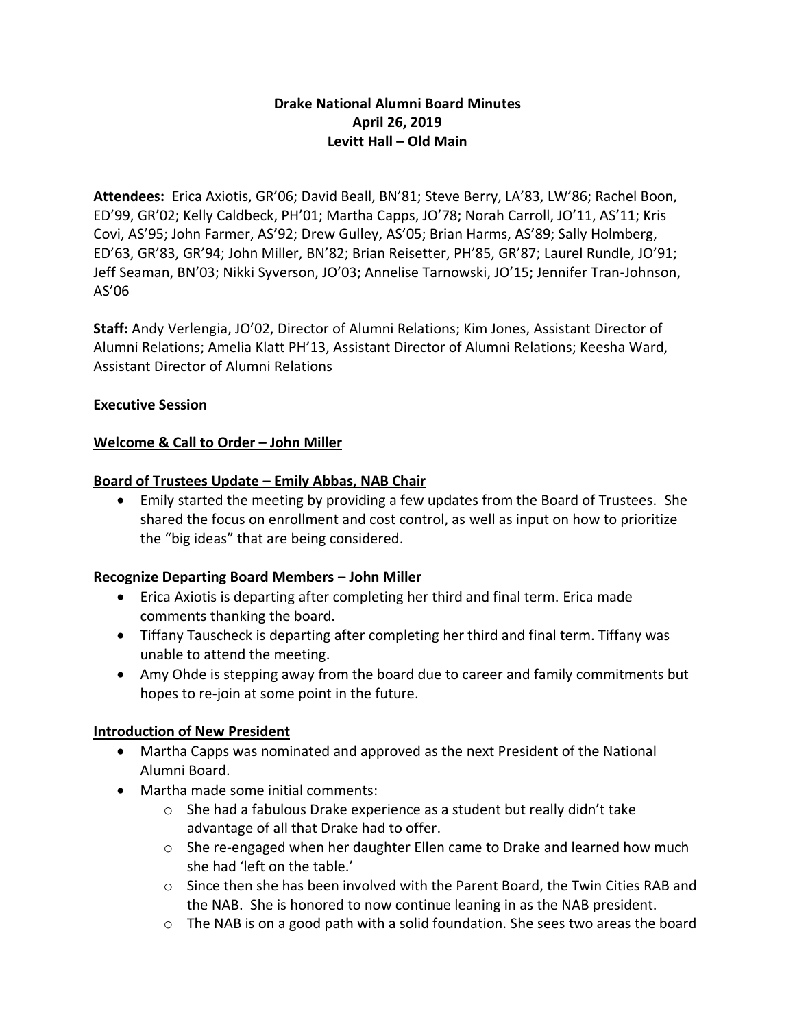### **Drake National Alumni Board Minutes April 26, 2019 Levitt Hall – Old Main**

**Attendees:** Erica Axiotis, GR'06; David Beall, BN'81; Steve Berry, LA'83, LW'86; Rachel Boon, ED'99, GR'02; Kelly Caldbeck, PH'01; Martha Capps, JO'78; Norah Carroll, JO'11, AS'11; Kris Covi, AS'95; John Farmer, AS'92; Drew Gulley, AS'05; Brian Harms, AS'89; Sally Holmberg, ED'63, GR'83, GR'94; John Miller, BN'82; Brian Reisetter, PH'85, GR'87; Laurel Rundle, JO'91; Jeff Seaman, BN'03; Nikki Syverson, JO'03; Annelise Tarnowski, JO'15; Jennifer Tran-Johnson, AS'06

**Staff:** Andy Verlengia, JO'02, Director of Alumni Relations; Kim Jones, Assistant Director of Alumni Relations; Amelia Klatt PH'13, Assistant Director of Alumni Relations; Keesha Ward, Assistant Director of Alumni Relations

#### **Executive Session**

#### **Welcome & Call to Order – John Miller**

#### **Board of Trustees Update – Emily Abbas, NAB Chair**

• Emily started the meeting by providing a few updates from the Board of Trustees. She shared the focus on enrollment and cost control, as well as input on how to prioritize the "big ideas" that are being considered.

#### **Recognize Departing Board Members – John Miller**

- Erica Axiotis is departing after completing her third and final term. Erica made comments thanking the board.
- Tiffany Tauscheck is departing after completing her third and final term. Tiffany was unable to attend the meeting.
- Amy Ohde is stepping away from the board due to career and family commitments but hopes to re-join at some point in the future.

# **Introduction of New President**

- Martha Capps was nominated and approved as the next President of the National Alumni Board.
- Martha made some initial comments:
	- o She had a fabulous Drake experience as a student but really didn't take advantage of all that Drake had to offer.
	- $\circ$  She re-engaged when her daughter Ellen came to Drake and learned how much she had 'left on the table.'
	- o Since then she has been involved with the Parent Board, the Twin Cities RAB and the NAB. She is honored to now continue leaning in as the NAB president.
	- o The NAB is on a good path with a solid foundation. She sees two areas the board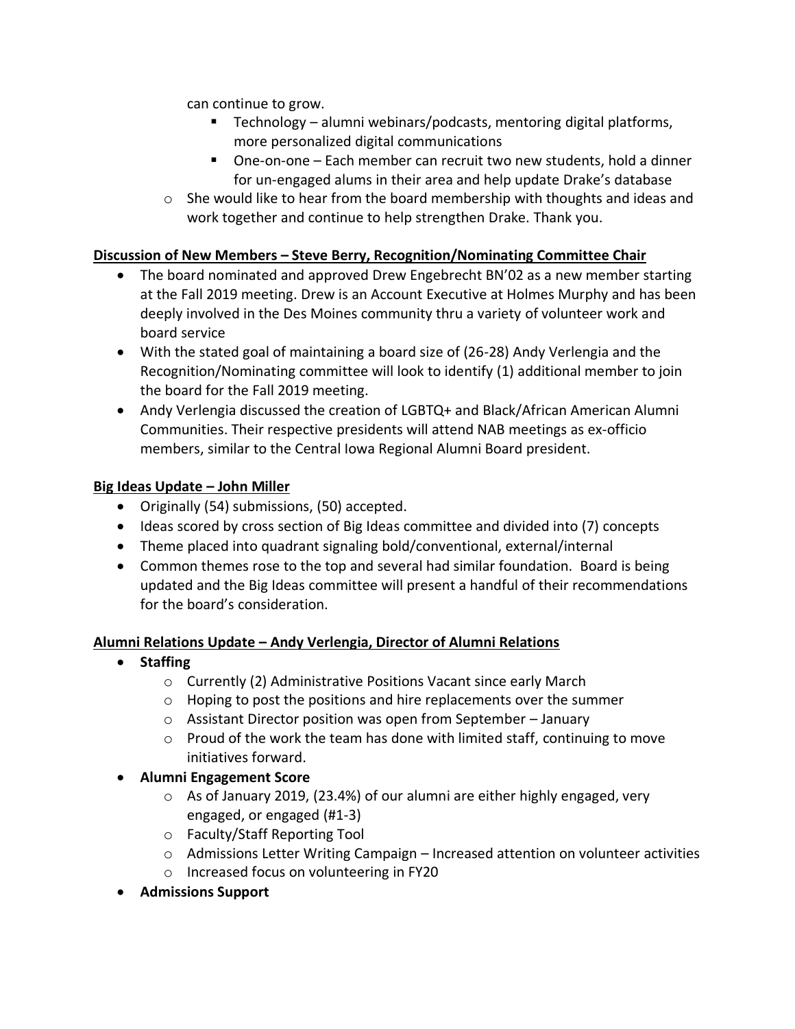can continue to grow.

- Technology alumni webinars/podcasts, mentoring digital platforms, more personalized digital communications
- One-on-one Each member can recruit two new students, hold a dinner for un-engaged alums in their area and help update Drake's database
- $\circ$  She would like to hear from the board membership with thoughts and ideas and work together and continue to help strengthen Drake. Thank you.

#### **Discussion of New Members – Steve Berry, Recognition/Nominating Committee Chair**

- The board nominated and approved Drew Engebrecht BN'02 as a new member starting at the Fall 2019 meeting. Drew is an Account Executive at Holmes Murphy and has been deeply involved in the Des Moines community thru a variety of volunteer work and board service
- With the stated goal of maintaining a board size of (26-28) Andy Verlengia and the Recognition/Nominating committee will look to identify (1) additional member to join the board for the Fall 2019 meeting.
- Andy Verlengia discussed the creation of LGBTQ+ and Black/African American Alumni Communities. Their respective presidents will attend NAB meetings as ex-officio members, similar to the Central Iowa Regional Alumni Board president.

#### **Big Ideas Update – John Miller**

- Originally (54) submissions, (50) accepted.
- Ideas scored by cross section of Big Ideas committee and divided into (7) concepts
- Theme placed into quadrant signaling bold/conventional, external/internal
- Common themes rose to the top and several had similar foundation. Board is being updated and the Big Ideas committee will present a handful of their recommendations for the board's consideration.

#### **Alumni Relations Update – Andy Verlengia, Director of Alumni Relations**

- **Staffing**
	- o Currently (2) Administrative Positions Vacant since early March
	- o Hoping to post the positions and hire replacements over the summer
	- o Assistant Director position was open from September January
	- $\circ$  Proud of the work the team has done with limited staff, continuing to move initiatives forward.
- **Alumni Engagement Score**
	- $\circ$  As of January 2019, (23.4%) of our alumni are either highly engaged, very engaged, or engaged (#1-3)
	- o Faculty/Staff Reporting Tool
	- $\circ$  Admissions Letter Writing Campaign Increased attention on volunteer activities
	- o Increased focus on volunteering in FY20
- **Admissions Support**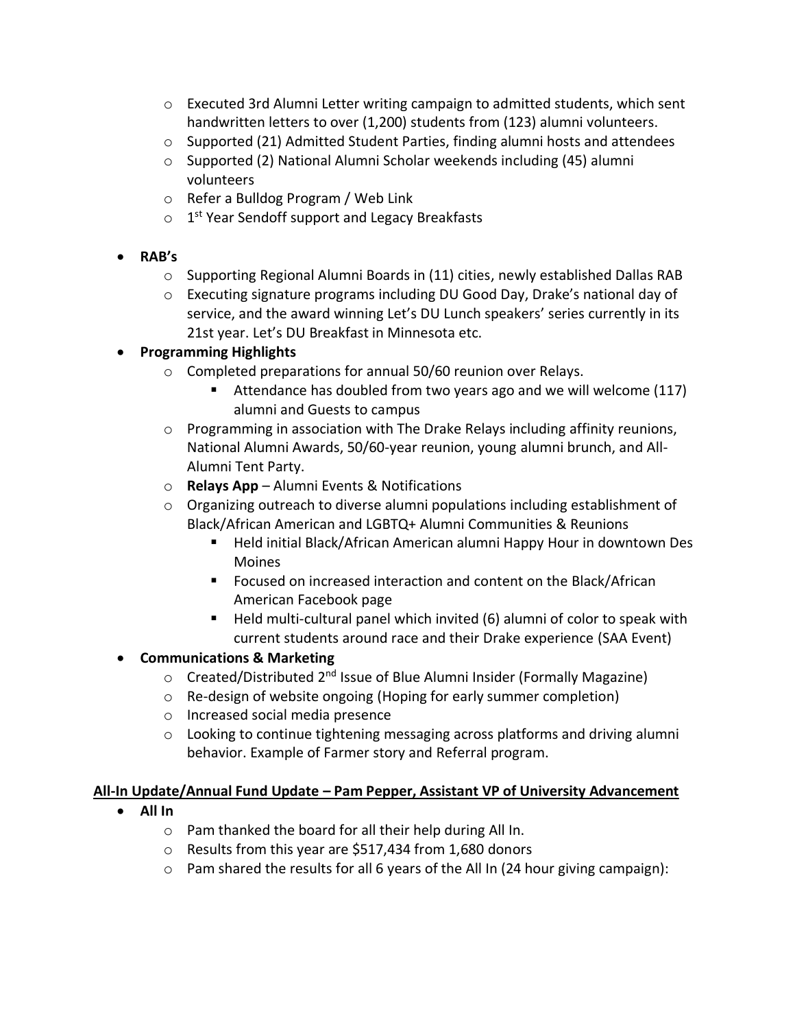- $\circ$  Executed 3rd Alumni Letter writing campaign to admitted students, which sent handwritten letters to over (1,200) students from (123) alumni volunteers.
- $\circ$  Supported (21) Admitted Student Parties, finding alumni hosts and attendees
- o Supported (2) National Alumni Scholar weekends including (45) alumni volunteers
- o Refer a Bulldog Program / Web Link
- o 1<sup>st</sup> Year Sendoff support and Legacy Breakfasts
- **RAB's**
	- $\circ$  Supporting Regional Alumni Boards in (11) cities, newly established Dallas RAB
	- o Executing signature programs including DU Good Day, Drake's national day of service, and the award winning Let's DU Lunch speakers' series currently in its 21st year. Let's DU Breakfast in Minnesota etc.

#### • **Programming Highlights**

- o Completed preparations for annual 50/60 reunion over Relays.
	- Attendance has doubled from two years ago and we will welcome (117) alumni and Guests to campus
- o Programming in association with The Drake Relays including affinity reunions, National Alumni Awards, 50/60-year reunion, young alumni brunch, and All-Alumni Tent Party.
- o **Relays App** Alumni Events & Notifications
- $\circ$  Organizing outreach to diverse alumni populations including establishment of Black/African American and LGBTQ+ Alumni Communities & Reunions
	- Held initial Black/African American alumni Happy Hour in downtown Des Moines
	- Focused on increased interaction and content on the Black/African American Facebook page
	- Held multi-cultural panel which invited (6) alumni of color to speak with current students around race and their Drake experience (SAA Event)

#### • **Communications & Marketing**

- o Created/Distributed 2<sup>nd</sup> Issue of Blue Alumni Insider (Formally Magazine)
- o Re-design of website ongoing (Hoping for early summer completion)
- o Increased social media presence
- $\circ$  Looking to continue tightening messaging across platforms and driving alumni behavior. Example of Farmer story and Referral program.

#### **All-In Update/Annual Fund Update – Pam Pepper, Assistant VP of University Advancement**

- **All In**
	- o Pam thanked the board for all their help during All In.
	- o Results from this year are \$517,434 from 1,680 donors
	- $\circ$  Pam shared the results for all 6 years of the All In (24 hour giving campaign):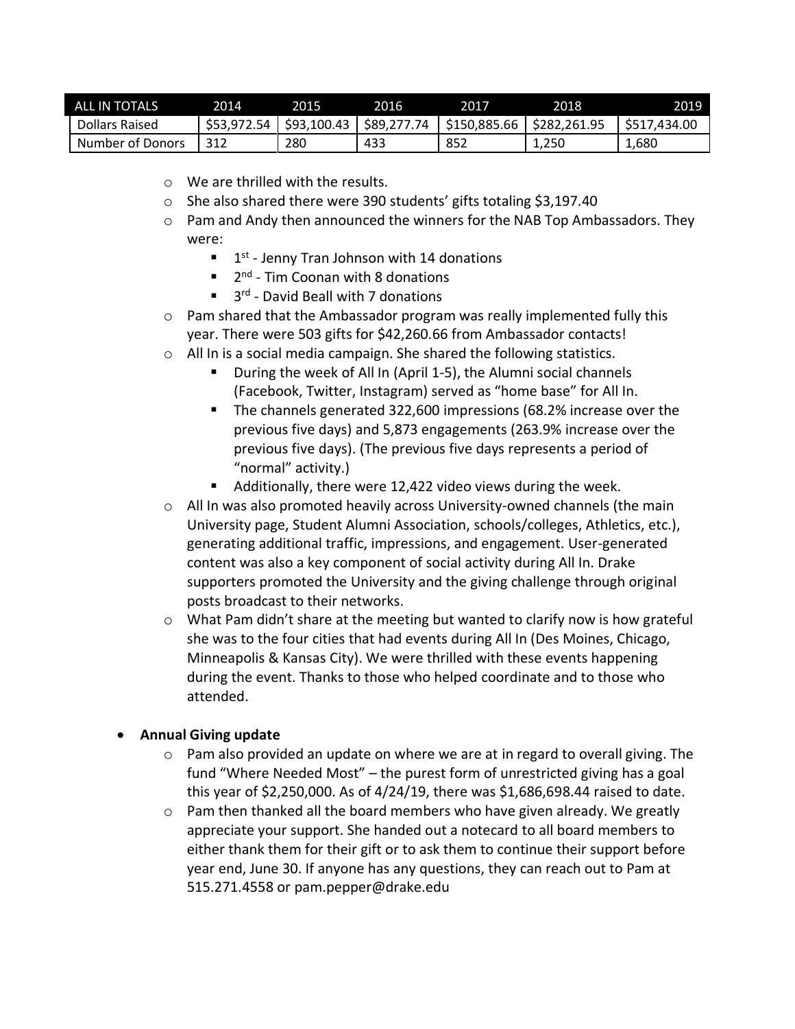| ALL IN TOTALS    | 2014        | 2015        | 2016        | 2017         | 2018         | 2019         |
|------------------|-------------|-------------|-------------|--------------|--------------|--------------|
| Dollars Raised   | \$53,972.54 | \$93,100.43 | \$89,277.74 | \$150,885.66 | \$282,261.95 | \$517,434.00 |
| Number of Donors | 312         | 280         | 433         | -852         | 1,250        | 1,680        |

- o We are thrilled with the results.
- o She also shared there were 390 students' gifts totaling \$3,197.40
- $\circ$  Pam and Andy then announced the winners for the NAB Top Ambassadors. They were:
	- $\blacksquare$  1<sup>st</sup> Jenny Tran Johnson with 14 donations
	- 2<sup>nd</sup> Tim Coonan with 8 donations
	- 3<sup>rd</sup> David Beall with 7 donations
- $\circ$  Pam shared that the Ambassador program was really implemented fully this year. There were 503 gifts for \$42,260.66 from Ambassador contacts!
- $\circ$  All In is a social media campaign. She shared the following statistics.
	- During the week of All In (April 1-5), the Alumni social channels (Facebook, Twitter, Instagram) served as "home base" for All In.
	- The channels generated 322,600 impressions (68.2% increase over the previous five days) and 5,873 engagements (263.9% increase over the previous five days). (The previous five days represents a period of "normal" activity.)
	- Additionally, there were 12,422 video views during the week.
- o All In was also promoted heavily across University-owned channels (the main University page, Student Alumni Association, schools/colleges, Athletics, etc.), generating additional traffic, impressions, and engagement. User-generated content was also a key component of social activity during All In. Drake supporters promoted the University and the giving challenge through original posts broadcast to their networks.
- $\circ$  What Pam didn't share at the meeting but wanted to clarify now is how grateful she was to the four cities that had events during All In (Des Moines, Chicago, Minneapolis & Kansas City). We were thrilled with these events happening during the event. Thanks to those who helped coordinate and to those who attended.

#### • **Annual Giving update**

- $\circ$  Pam also provided an update on where we are at in regard to overall giving. The fund "Where Needed Most" – the purest form of unrestricted giving has a goal this year of \$2,250,000. As of 4/24/19, there was \$1,686,698.44 raised to date.
- $\circ$  Pam then thanked all the board members who have given already. We greatly appreciate your support. She handed out a notecard to all board members to either thank them for their gift or to ask them to continue their support before year end, June 30. If anyone has any questions, they can reach out to Pam at 515.271.4558 or [pam.pepper@drake.edu](mailto:pam.pepper@drake.edu)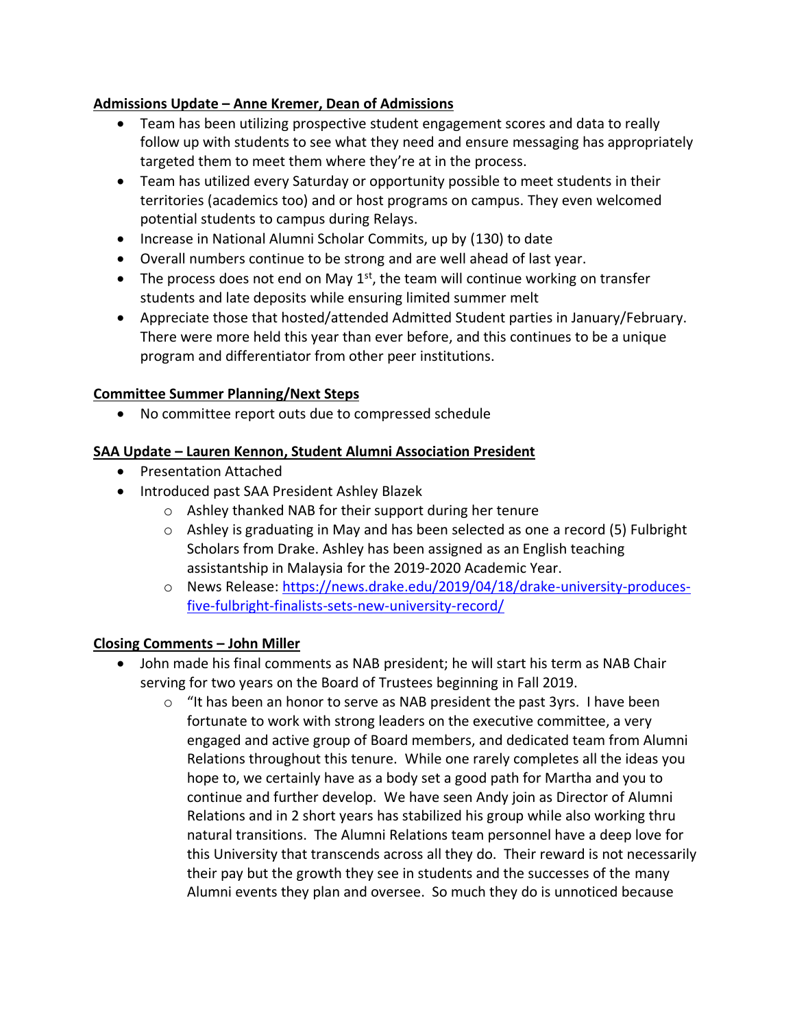## **Admissions Update – Anne Kremer, Dean of Admissions**

- Team has been utilizing prospective student engagement scores and data to really follow up with students to see what they need and ensure messaging has appropriately targeted them to meet them where they're at in the process.
- Team has utilized every Saturday or opportunity possible to meet students in their territories (academics too) and or host programs on campus. They even welcomed potential students to campus during Relays.
- Increase in National Alumni Scholar Commits, up by (130) to date
- Overall numbers continue to be strong and are well ahead of last year.
- The process does not end on May  $1<sup>st</sup>$ , the team will continue working on transfer students and late deposits while ensuring limited summer melt
- Appreciate those that hosted/attended Admitted Student parties in January/February. There were more held this year than ever before, and this continues to be a unique program and differentiator from other peer institutions.

#### **Committee Summer Planning/Next Steps**

• No committee report outs due to compressed schedule

#### **SAA Update – Lauren Kennon, Student Alumni Association President**

- Presentation Attached
- Introduced past SAA President Ashley Blazek
	- o Ashley thanked NAB for their support during her tenure
	- $\circ$  Ashley is graduating in May and has been selected as one a record (5) Fulbright Scholars from Drake. Ashley has been assigned as an English teaching assistantship in Malaysia for the 2019-2020 Academic Year.
	- o News Release: [https://news.drake.edu/2019/04/18/drake-university-produces](https://news.drake.edu/2019/04/18/drake-university-produces-five-fulbright-finalists-sets-new-university-record/)[five-fulbright-finalists-sets-new-university-record/](https://news.drake.edu/2019/04/18/drake-university-produces-five-fulbright-finalists-sets-new-university-record/)

#### **Closing Comments – John Miller**

- John made his final comments as NAB president; he will start his term as NAB Chair serving for two years on the Board of Trustees beginning in Fall 2019.
	- $\circ$  "It has been an honor to serve as NAB president the past 3yrs. I have been fortunate to work with strong leaders on the executive committee, a very engaged and active group of Board members, and dedicated team from Alumni Relations throughout this tenure. While one rarely completes all the ideas you hope to, we certainly have as a body set a good path for Martha and you to continue and further develop. We have seen Andy join as Director of Alumni Relations and in 2 short years has stabilized his group while also working thru natural transitions. The Alumni Relations team personnel have a deep love for this University that transcends across all they do. Their reward is not necessarily their pay but the growth they see in students and the successes of the many Alumni events they plan and oversee. So much they do is unnoticed because